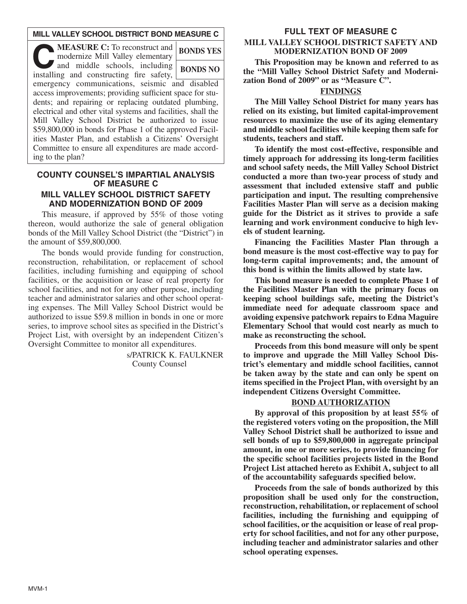# **MILL VALLEY SCHOOL DISTRICT BOND MEASURE C**

| <b>MEASURE C:</b> To reconstruct and<br>modernize Mill Valley elementary  | <b>BONDS YES</b> |
|---------------------------------------------------------------------------|------------------|
| and middle schools, including<br>installing and constructing fire safety, | <b>BONDS NO</b>  |
| emergency communications, seismic and disabled                            |                  |
| access improvements; providing sufficient space for stu-                  |                  |
| dents; and repairing or replacing outdated plumbing,                      |                  |
| electrical and other vital systems and facilities, shall the              |                  |
| Mill Valley School District be authorized to issue                        |                  |
| \$59,800,000 in bonds for Phase 1 of the approved Facil-                  |                  |
| ities Master Plan, and establish a Citizens' Oversight                    |                  |
| Committee to ensure all expenditures are made accord-                     |                  |
| ing to the plan?                                                          |                  |

# **COUNTY COUNSEL'S IMPARTIAL ANALYSIS OF MEASURE C MILL VALLEY SCHOOL DISTRICT SAFETY AND MODERNIZATION BOND OF 2009**

This measure, if approved by 55% of those voting thereon, would authorize the sale of general obligation bonds of the Mill Valley School District (the "District") in the amount of \$59,800,000.

The bonds would provide funding for construction, reconstruction, rehabilitation, or replacement of school facilities, including furnishing and equipping of school facilities, or the acquisition or lease of real property for school facilities, and not for any other purpose, including teacher and administrator salaries and other school operating expenses. The Mill Valley School District would be authorized to issue \$59.8 million in bonds in one or more series, to improve school sites as specified in the District's Project List, with oversight by an independent Citizen's Oversight Committee to monitor all expenditures.

> s/PATRICK K. FAULKNER County Counsel

### **FULL TEXT OF MEASURE C**

# **MILL VALLEY SCHOOL DISTRICT SAFETY AND MODERNIZATION BOND OF 2009**

**This Proposition may be known and referred to as the "Mill Valley School District Safety and Modernization Bond of 2009" or as "Measure C".**

# **FINDINGS**

**The Mill Valley School District for many years has relied on its existing, but limited capital-improvement resources to maximize the use of its aging elementary and middle school facilities while keeping them safe for students, teachers and staff.**

**To identify the most cost-effective, responsible and timely approach for addressing its long-term facilities and school safety needs, the Mill Valley School District conducted a more than two-year process of study and assessment that included extensive staff and public participation and input. The resulting comprehensive Facilities Master Plan will serve as a decision making guide for the District as it strives to provide a safe learning and work environment conducive to high levels of student learning.**

**Financing the Facilities Master Plan through a bond measure is the most cost-effective way to pay for long-term capital improvements; and, the amount of this bond is within the limits allowed by state law.**

**This bond measure is needed to complete Phase 1 of the Facilities Master Plan with the primary focus on keeping school buildings safe, meeting the District's immediate need for adequate classroom space and avoiding expensive patchwork repairs to Edna Maguire Elementary School that would cost nearly as much to make as reconstructing the school.**

**Proceeds from this bond measure will only be spent to improve and upgrade the Mill Valley School District's elementary and middle school facilities, cannot be taken away by the state and can only be spent on items specified in the Project Plan, with oversight by an independent Citizens Oversight Committee.**

### **BOND AUTHORIZATION**

**By approval of this proposition by at least 55% of the registered voters voting on the proposition, the Mill Valley School District shall be authorized to issue and sell bonds of up to \$59,800,000 in aggregate principal amount, in one or more series, to provide financing for the specific school facilities projects listed in the Bond Project List attached hereto as Exhibit A, subject to all of the accountability safeguards specified below.**

**Proceeds from the sale of bonds authorized by this proposition shall be used only for the construction, reconstruction, rehabilitation, or replacement of school facilities, including the furnishing and equipping of school facilities, or the acquisition or lease of real property for school facilities, and not for any other purpose, including teacher and administrator salaries and other school operating expenses.**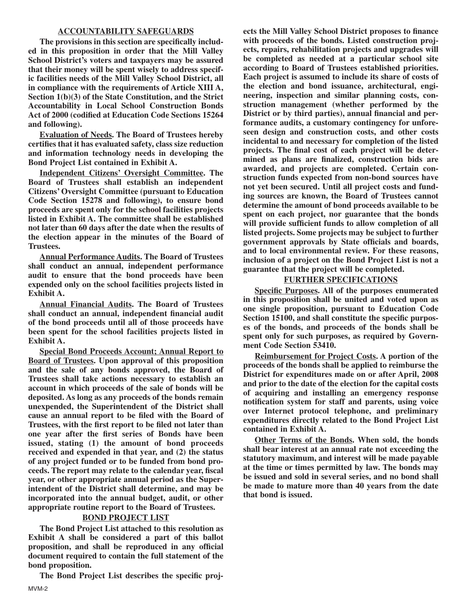### **ACCOUNTABILITY SAFEGUARDS**

**The provisions in this section are specifically included in this proposition in order that the Mill Valley School District's voters and taxpayers may be assured that their money will be spent wisely to address specific facilities needs of the Mill Valley School District, all in compliance with the requirements of Article XIII A, Section 1(b)(3) of the State Constitution, and the Strict Accountability in Local School Construction Bonds Act of 2000 (codified at Education Code Sections 15264 and following).**

**Evaluation of Needs. The Board of Trustees hereby certifies that it has evaluated safety, class size reduction and information technology needs in developing the Bond Project List contained in Exhibit A.**

**Independent Citizens' Oversight Committee. The Board of Trustees shall establish an independent Citizens' Oversight Committee (pursuant to Education Code Section 15278 and following), to ensure bond proceeds are spent only for the school facilities projects listed in Exhibit A. The committee shall be established not later than 60 days after the date when the results of the election appear in the minutes of the Board of Trustees.**

**Annual Performance Audits. The Board of Trustees shall conduct an annual, independent performance audit to ensure that the bond proceeds have been expended only on the school facilities projects listed in Exhibit A.**

**Annual Financial Audits. The Board of Trustees shall conduct an annual, independent financial audit of the bond proceeds until all of those proceeds have been spent for the school facilities projects listed in Exhibit A.**

**Special Bond Proceeds Account; Annual Report to Board of Trustees. Upon approval of this proposition and the sale of any bonds approved, the Board of Trustees shall take actions necessary to establish an account in which proceeds of the sale of bonds will be deposited. As long as any proceeds of the bonds remain unexpended, the Superintendent of the District shall cause an annual report to be filed with the Board of Trustees, with the first report to be filed not later than one year after the first series of Bonds have been issued, stating (1) the amount of bond proceeds received and expended in that year, and (2) the status of any project funded or to be funded from bond proceeds. The report may relate to the calendar year, fiscal year, or other appropriate annual period as the Superintendent of the District shall determine, and may be incorporated into the annual budget, audit, or other appropriate routine report to the Board of Trustees.**

# **BOND PROJECT LIST**

**The Bond Project List attached to this resolution as Exhibit A shall be considered a part of this ballot proposition, and shall be reproduced in any official document required to contain the full statement of the bond proposition.**

**The Bond Project List describes the specific proj-**

**ects the Mill Valley School District proposes to finance with proceeds of the bonds. Listed construction projects, repairs, rehabilitation projects and upgrades will be completed as needed at a particular school site according to Board of Trustees established priorities. Each project is assumed to include its share of costs of the election and bond issuance, architectural, engineering, inspection and similar planning costs, construction management (whether performed by the District or by third parties), annual financial and performance audits, a customary contingency for unforeseen design and construction costs, and other costs incidental to and necessary for completion of the listed projects. The final cost of each project will be determined as plans are finalized, construction bids are awarded, and projects are completed. Certain construction funds expected from non-bond sources have not yet been secured. Until all project costs and funding sources are known, the Board of Trustees cannot determine the amount of bond proceeds available to be spent on each project, nor guarantee that the bonds will provide sufficient funds to allow completion of all listed projects. Some projects may be subject to further government approvals by State officials and boards, and to local environmental review. For these reasons, inclusion of a project on the Bond Project List is not a guarantee that the project will be completed.**

# **FURTHER SPECIFICATIONS**

**Specific Purposes. All of the purposes enumerated in this proposition shall be united and voted upon as one single proposition, pursuant to Education Code Section 15100, and shall constitute the specific purposes of the bonds, and proceeds of the bonds shall be spent only for such purposes, as required by Government Code Section 53410.**

**Reimbursement for Project Costs. A portion of the proceeds of the bonds shall be applied to reimburse the District for expenditures made on or after April, 2008 and prior to the date of the election for the capital costs of acquiring and installing an emergency response notification system for staff and parents, using voice over Internet protocol telephone, and preliminary expenditures directly related to the Bond Project List contained in Exhibit A.**

**Other Terms of the Bonds. When sold, the bonds shall bear interest at an annual rate not exceeding the statutory maximum, and interest will be made payable at the time or times permitted by law. The bonds may be issued and sold in several series, and no bond shall be made to mature more than 40 years from the date that bond is issued.**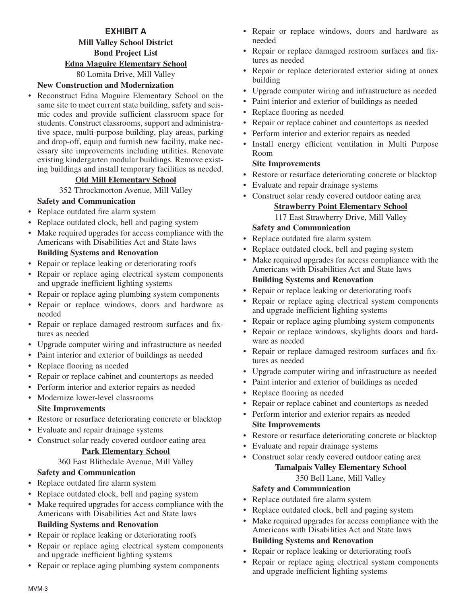# **EXHIBIT A Mill Valley School District Bond Project List Edna Maguire Elementary School** 80 Lomita Drive, Mill Valley

# **New Construction and Modernization**

• Reconstruct Edna Maguire Elementary School on the same site to meet current state building, safety and seismic codes and provide sufficient classroom space for students. Construct classrooms, support and administrative space, multi-purpose building, play areas, parking and drop-off, equip and furnish new facility, make necessary site improvements including utilities. Renovate existing kindergarten modular buildings. Remove existing buildings and install temporary facilities as needed.

# **Old Mill Elementary School**

352 Throckmorton Avenue, Mill Valley

# **Safety and Communication**

- Replace outdated fire alarm system
- Replace outdated clock, bell and paging system
- Make required upgrades for access compliance with the Americans with Disabilities Act and State laws

# **Building Systems and Renovation**

- Repair or replace leaking or deteriorating roofs
- Repair or replace aging electrical system components and upgrade inefficient lighting systems
- Repair or replace aging plumbing system components
- Repair or replace windows, doors and hardware as needed
- Repair or replace damaged restroom surfaces and fixtures as needed
- Upgrade computer wiring and infrastructure as needed
- Paint interior and exterior of buildings as needed
- Replace flooring as needed
- Repair or replace cabinet and countertops as needed
- Perform interior and exterior repairs as needed
- Modernize lower-level classrooms

# **Site Improvements**

- Restore or resurface deteriorating concrete or blacktop
- Evaluate and repair drainage systems
- Construct solar ready covered outdoor eating area

### **Park Elementary School**

360 East Blithedale Avenue, Mill Valley

# **Safety and Communication**

- Replace outdated fire alarm system
- Replace outdated clock, bell and paging system
- Make required upgrades for access compliance with the Americans with Disabilities Act and State laws **Building Systems and Renovation**

- Repair or replace leaking or deteriorating roofs
- Repair or replace aging electrical system components and upgrade inefficient lighting systems
- Repair or replace aging plumbing system components
- Repair or replace windows, doors and hardware as needed
- Repair or replace damaged restroom surfaces and fixtures as needed
- Repair or replace deteriorated exterior siding at annex building
- Upgrade computer wiring and infrastructure as needed
- Paint interior and exterior of buildings as needed
- Replace flooring as needed
- Repair or replace cabinet and countertops as needed
- Perform interior and exterior repairs as needed
- Install energy efficient ventilation in Multi Purpose Room

# **Site Improvements**

- Restore or resurface deteriorating concrete or blacktop
- Evaluate and repair drainage systems
- Construct solar ready covered outdoor eating area

# **Strawberry Point Elementary School**

117 East Strawberry Drive, Mill Valley

# **Safety and Communication**

- Replace outdated fire alarm system
- Replace outdated clock, bell and paging system
- Make required upgrades for access compliance with the Americans with Disabilities Act and State laws **Building Systems and Renovation**
- Repair or replace leaking or deteriorating roofs
- Repair or replace aging electrical system components and upgrade inefficient lighting systems
- Repair or replace aging plumbing system components
- Repair or replace windows, skylights doors and hardware as needed
- Repair or replace damaged restroom surfaces and fixtures as needed
- Upgrade computer wiring and infrastructure as needed
- Paint interior and exterior of buildings as needed
- Replace flooring as needed
- Repair or replace cabinet and countertops as needed
- Perform interior and exterior repairs as needed **Site Improvements**
- Restore or resurface deteriorating concrete or blacktop
- Evaluate and repair drainage systems
- Construct solar ready covered outdoor eating area

# **Tamalpais Valley Elementary School**

# 350 Bell Lane, Mill Valley

# **Safety and Communication**

- Replace outdated fire alarm system
- Replace outdated clock, bell and paging system
- Make required upgrades for access compliance with the Americans with Disabilities Act and State laws

# **Building Systems and Renovation**

- Repair or replace leaking or deteriorating roofs
- Repair or replace aging electrical system components and upgrade inefficient lighting systems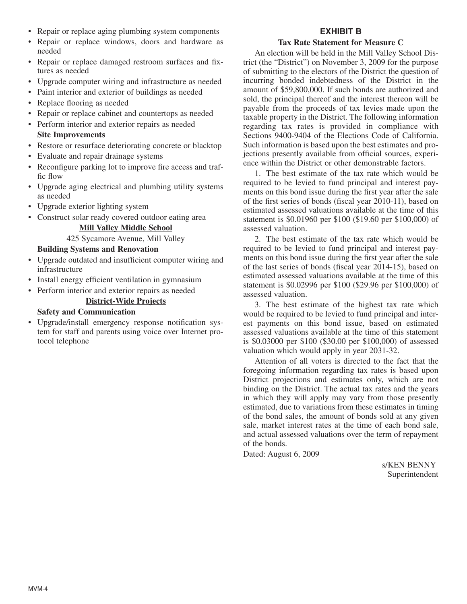- Repair or replace aging plumbing system components
- Repair or replace windows, doors and hardware as needed
- Repair or replace damaged restroom surfaces and fixtures as needed
- Upgrade computer wiring and infrastructure as needed
- Paint interior and exterior of buildings as needed
- Replace flooring as needed
- Repair or replace cabinet and countertops as needed
- Perform interior and exterior repairs as needed
- **Site Improvements**
- Restore or resurface deteriorating concrete or blacktop
- Evaluate and repair drainage systems
- Reconfigure parking lot to improve fire access and traffic flow
- Upgrade aging electrical and plumbing utility systems as needed
- Upgrade exterior lighting system
- Construct solar ready covered outdoor eating area

### **Mill Valley Middle School**

### 425 Sycamore Avenue, Mill Valley

### **Building Systems and Renovation**

- Upgrade outdated and insufficient computer wiring and infrastructure
- Install energy efficient ventilation in gymnasium
- Perform interior and exterior repairs as needed **District-Wide Projects**

### **Safety and Communication**

• Upgrade/install emergency response notification system for staff and parents using voice over Internet protocol telephone

# **EXHIBIT B**

### **Tax Rate Statement for Measure C**

An election will be held in the Mill Valley School District (the "District") on November 3, 2009 for the purpose of submitting to the electors of the District the question of incurring bonded indebtedness of the District in the amount of \$59,800,000. If such bonds are authorized and sold, the principal thereof and the interest thereon will be payable from the proceeds of tax levies made upon the taxable property in the District. The following information regarding tax rates is provided in compliance with Sections 9400-9404 of the Elections Code of California. Such information is based upon the best estimates and projections presently available from official sources, experience within the District or other demonstrable factors.

1. The best estimate of the tax rate which would be required to be levied to fund principal and interest payments on this bond issue during the first year after the sale of the first series of bonds (fiscal year 2010-11), based on estimated assessed valuations available at the time of this statement is \$0.01960 per \$100 (\$19.60 per \$100,000) of assessed valuation.

2. The best estimate of the tax rate which would be required to be levied to fund principal and interest payments on this bond issue during the first year after the sale of the last series of bonds (fiscal year 2014-15), based on estimated assessed valuations available at the time of this statement is \$0.02996 per \$100 (\$29.96 per \$100,000) of assessed valuation.

3. The best estimate of the highest tax rate which would be required to be levied to fund principal and interest payments on this bond issue, based on estimated assessed valuations available at the time of this statement is \$0.03000 per \$100 (\$30.00 per \$100,000) of assessed valuation which would apply in year 2031-32.

Attention of all voters is directed to the fact that the foregoing information regarding tax rates is based upon District projections and estimates only, which are not binding on the District. The actual tax rates and the years in which they will apply may vary from those presently estimated, due to variations from these estimates in timing of the bond sales, the amount of bonds sold at any given sale, market interest rates at the time of each bond sale, and actual assessed valuations over the term of repayment of the bonds.

Dated: August 6, 2009

s/KEN BENNY Superintendent